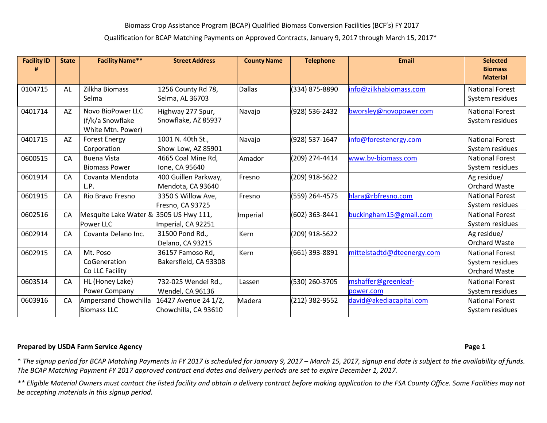# Qualification for BCAP Matching Payments on Approved Contracts, January 9, 2017 through March 15, 2017\*

| <b>Facility ID</b> | <b>State</b> | <b>Facility Name**</b>                                     | <b>Street Address</b>                        | <b>County Name</b> | <b>Telephone</b> | <b>Email</b>                     | <b>Selected</b><br><b>Biomass</b><br><b>Material</b>              |
|--------------------|--------------|------------------------------------------------------------|----------------------------------------------|--------------------|------------------|----------------------------------|-------------------------------------------------------------------|
| 0104715            | <b>AL</b>    | Zilkha Biomass<br>Selma                                    | 1256 County Rd 78,<br>Selma, AL 36703        | <b>Dallas</b>      | (334) 875-8890   | info@zilkhabiomass.com           | <b>National Forest</b><br>System residues                         |
| 0401714            | AZ           | Novo BioPower LLC<br>(f/k/a Snowflake<br>White Mtn. Power) | Highway 277 Spur,<br>Snowflake, AZ 85937     | Navajo             | (928) 536-2432   | bworsley@novopower.com           | <b>National Forest</b><br>System residues                         |
| 0401715            | AZ           | <b>Forest Energy</b><br>Corporation                        | 1001 N. 40th St.,<br>Show Low, AZ 85901      | Navajo             | (928) 537-1647   | info@forestenergy.com            | <b>National Forest</b><br>System residues                         |
| 0600515            | CA           | <b>Buena Vista</b><br><b>Biomass Power</b>                 | 4665 Coal Mine Rd,<br>lone, CA 95640         | Amador             | (209) 274-4414   | www.bv-biomass.com               | <b>National Forest</b><br>System residues                         |
| 0601914            | CA           | Covanta Mendota<br>L.P.                                    | 400 Guillen Parkway,<br>Mendota, CA 93640    | Fresno             | (209) 918-5622   |                                  | Ag residue/<br><b>Orchard Waste</b>                               |
| 0601915            | CA           | Rio Bravo Fresno                                           | 3350 S Willow Ave,<br>Fresno, CA 93725       | Fresno             | (559) 264-4575   | hlara@rbfresno.com               | <b>National Forest</b><br>System residues                         |
| 0602516            | CA           | Mesquite Lake Water & 3505 US Hwy 111,<br>Power LLC        | Imperial, CA 92251                           | Imperial           | (602) 363-8441   | buckingham15@gmail.com           | <b>National Forest</b><br>System residues                         |
| 0602914            | CA           | Covanta Delano Inc.                                        | 31500 Pond Rd.,<br>Delano, CA 93215          | Kern               | (209) 918-5622   |                                  | Ag residue/<br><b>Orchard Waste</b>                               |
| 0602915            | CA           | Mt. Poso<br>CoGeneration<br>Co LLC Facility                | 36157 Famoso Rd,<br>Bakersfield, CA 93308    | Kern               | (661) 393-8891   | mittelstadtd@dteenergy.com       | <b>National Forest</b><br>System residues<br><b>Orchard Waste</b> |
| 0603514            | CA           | HL (Honey Lake)<br>Power Company                           | 732-025 Wendel Rd.,<br>Wendel, CA 96136      | Lassen             | (530) 260-3705   | mshaffer@greenleaf-<br>power.com | <b>National Forest</b><br>System residues                         |
| 0603916            | CA           | <b>Ampersand Chowchilla</b><br><b>Biomass LLC</b>          | 16427 Avenue 24 1/2,<br>Chowchilla, CA 93610 | Madera             | (212) 382-9552   | david@akediacapital.com          | <b>National Forest</b><br>System residues                         |

#### **Prepared by USDA Farm Service Agency Page 1**

\* *The signup period for BCAP Matching Payments in FY 2017 is scheduled for January 9, 2017 – March 15, 2017, signup end date is subject to the availability of funds. The BCAP Matching Payment FY 2017 approved contract end dates and delivery periods are set to expire December 1, 2017.*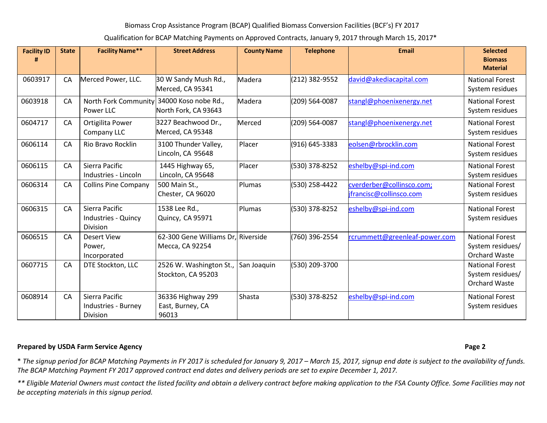Qualification for BCAP Matching Payments on Approved Contracts, January 9, 2017 through March 15, 2017\*

| <b>Facility ID</b> | <b>State</b> | <b>Facility Name**</b>                                   | <b>Street Address</b>                                 | <b>County Name</b> | <b>Telephone</b> | <b>Email</b>                                         | <b>Selected</b><br><b>Biomass</b><br><b>Material</b>               |
|--------------------|--------------|----------------------------------------------------------|-------------------------------------------------------|--------------------|------------------|------------------------------------------------------|--------------------------------------------------------------------|
| 0603917            | CA           | Merced Power, LLC.                                       | 30 W Sandy Mush Rd.,<br>Merced, CA 95341              | Madera             | (212) 382-9552   | david@akediacapital.com                              | <b>National Forest</b><br>System residues                          |
| 0603918            | CA           | North Fork Community<br>Power LLC                        | 34000 Koso nobe Rd.,<br>North Fork, CA 93643          | Madera             | (209) 564-0087   | stangl@phoenixenergy.net                             | <b>National Forest</b><br>System residues                          |
| 0604717            | CA           | Ortigilita Power<br>Company LLC                          | 3227 Beachwood Dr.,<br>Merced, CA 95348               | Merced             | (209) 564-0087   | stangl@phoenixenergy.net                             | <b>National Forest</b><br>System residues                          |
| 0606114            | CA           | Rio Bravo Rocklin                                        | 3100 Thunder Valley,<br>Lincoln, CA 95648             | Placer             | (916) 645-3383   | eolsen@rbrocklin.com                                 | <b>National Forest</b><br>System residues                          |
| 0606115            | CA           | Sierra Pacific<br>Industries - Lincoln                   | 1445 Highway 65,<br>Lincoln, CA 95648                 | Placer             | (530) 378-8252   | eshelby@spi-ind.com                                  | <b>National Forest</b><br>System residues                          |
| 0606314            | CA           | <b>Collins Pine Company</b>                              | 500 Main St.,<br>Chester, CA 96020                    | Plumas             | (530) 258-4422   | cverderber@collinsco.com;<br>jfrancisc@collinsco.com | <b>National Forest</b><br>System residues                          |
| 0606315            | CA           | Sierra Pacific<br>Industries - Quincy<br><b>Division</b> | 1538 Lee Rd.,<br>Quincy, CA 95971                     | Plumas             | (530) 378-8252   | eshelby@spi-ind.com                                  | <b>National Forest</b><br>System residues                          |
| 0606515            | CA           | <b>Desert View</b><br>Power,<br>Incorporated             | 62-300 Gene Williams Dr, Riverside<br>Mecca, CA 92254 |                    | (760) 396-2554   | rcrummett@greenleaf-power.com                        | <b>National Forest</b><br>System residues/<br>Orchard Waste        |
| 0607715            | CA           | DTE Stockton, LLC                                        | 2526 W. Washington St.,<br>Stockton, CA 95203         | San Joaquin        | (530) 209-3700   |                                                      | <b>National Forest</b><br>System residues/<br><b>Orchard Waste</b> |
| 0608914            | CA           | Sierra Pacific<br>Industries - Burney<br><b>Division</b> | 36336 Highway 299<br>East, Burney, CA<br>96013        | Shasta             | (530) 378-8252   | eshelby@spi-ind.com                                  | <b>National Forest</b><br>System residues                          |

# **Prepared by USDA Farm Service Agency Page 2**

\* *The signup period for BCAP Matching Payments in FY 2017 is scheduled for January 9, 2017 – March 15, 2017, signup end date is subject to the availability of funds. The BCAP Matching Payment FY 2017 approved contract end dates and delivery periods are set to expire December 1, 2017.*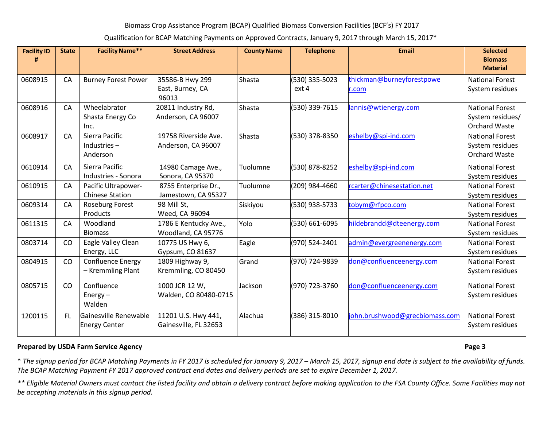Qualification for BCAP Matching Payments on Approved Contracts, January 9, 2017 through March 15, 2017\*

| <b>Facility ID</b> | <b>State</b> | <b>Facility Name**</b>                        | <b>Street Address</b>                        | <b>County Name</b> | <b>Telephone</b>        | <b>Email</b>                       | <b>Selected</b><br><b>Biomass</b><br><b>Material</b>        |
|--------------------|--------------|-----------------------------------------------|----------------------------------------------|--------------------|-------------------------|------------------------------------|-------------------------------------------------------------|
| 0608915            | CA           | <b>Burney Forest Power</b>                    | 35586-B Hwy 299<br>East, Burney, CA<br>96013 | Shasta             | (530) 335-5023<br>ext 4 | thickman@burneyforestpowe<br>r.com | <b>National Forest</b><br>System residues                   |
| 0608916            | CA           | Wheelabrator<br>Shasta Energy Co<br>Inc.      | 20811 Industry Rd,<br>Anderson, CA 96007     | Shasta             | (530) 339-7615          | lannis@wtienergy.com               | <b>National Forest</b><br>System residues/<br>Orchard Waste |
| 0608917            | CA           | Sierra Pacific<br>Industries-<br>Anderson     | 19758 Riverside Ave.<br>Anderson, CA 96007   | Shasta             | (530) 378-8350          | eshelby@spi-ind.com                | <b>National Forest</b><br>System residues<br>Orchard Waste  |
| 0610914            | CA           | Sierra Pacific<br>Industries - Sonora         | 14980 Camage Ave.,<br>Sonora, CA 95370       | Tuolumne           | (530) 878-8252          | eshelby@spi-ind.com                | <b>National Forest</b><br>System residues                   |
| 0610915            | CA           | Pacific Ultrapower-<br><b>Chinese Station</b> | 8755 Enterprise Dr.,<br>Jamestown, CA 95327  | Tuolumne           | (209) 984-4660          | rcarter@chinesestation.net         | <b>National Forest</b><br>System residues                   |
| 0609314            | CA           | Roseburg Forest<br>Products                   | 98 Mill St,<br>Weed, CA 96094                | Siskiyou           | (530) 938-5733          | tobym@rfpco.com                    | <b>National Forest</b><br>System residues                   |
| 0611315            | <b>CA</b>    | Woodland<br><b>Biomass</b>                    | 1786 E Kentucky Ave.,<br>Woodland, CA 95776  | Yolo               | (530) 661-6095          | hildebrandd@dteenergy.com          | <b>National Forest</b><br>System residues                   |
| 0803714            | CO           | Eagle Valley Clean<br>Energy, LLC             | 10775 US Hwy 6,<br>Gypsum, CO 81637          | Eagle              | (970) 524-2401          | admin@evergreenenergy.com          | <b>National Forest</b><br>System residues                   |
| 0804915            | CO           | <b>Confluence Energy</b><br>- Kremmling Plant | 1809 Highway 9,<br>Kremmling, CO 80450       | Grand              | (970) 724-9839          | don@confluenceenergy.com           | <b>National Forest</b><br>System residues                   |
| 0805715            | CO           | Confluence<br>Energy $-$<br>Walden            | 1000 JCR 12 W,<br>Walden, CO 80480-0715      | Jackson            | (970) 723-3760          | don@confluenceenergy.com           | <b>National Forest</b><br>System residues                   |
| 1200115            | FL.          | Gainesville Renewable<br><b>Energy Center</b> | 11201 U.S. Hwy 441,<br>Gainesville, FL 32653 | Alachua            | (386) 315-8010          | john.brushwood@grecbiomass.com     | <b>National Forest</b><br>System residues                   |

# **Prepared by USDA Farm Service Agency Page 3**

\* *The signup period for BCAP Matching Payments in FY 2017 is scheduled for January 9, 2017 – March 15, 2017, signup end date is subject to the availability of funds. The BCAP Matching Payment FY 2017 approved contract end dates and delivery periods are set to expire December 1, 2017.*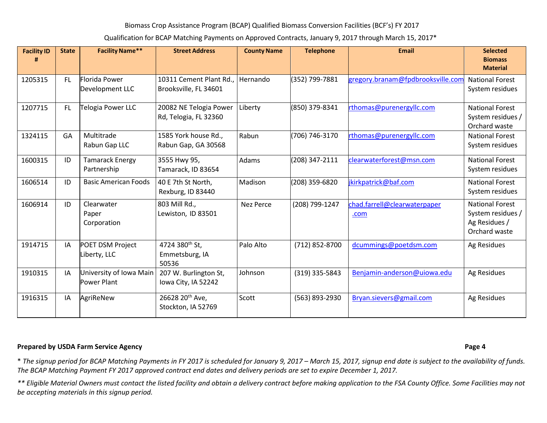Qualification for BCAP Matching Payments on Approved Contracts, January 9, 2017 through March 15, 2017\*

| <b>Facility ID</b> | <b>State</b> | <b>Facility Name**</b>                 | <b>Street Address</b>                                 | <b>County Name</b> | <b>Telephone</b> | <b>Email</b>                         | <b>Selected</b><br><b>Biomass</b><br><b>Material</b>                          |
|--------------------|--------------|----------------------------------------|-------------------------------------------------------|--------------------|------------------|--------------------------------------|-------------------------------------------------------------------------------|
| 1205315            | FL.          | Florida Power<br>Development LLC       | 10311 Cement Plant Rd.,<br>Brooksville, FL 34601      | Hernando           | (352) 799-7881   | gregory.branam@fpdbrooksville.com    | <b>National Forest</b><br>System residues                                     |
| 1207715            | <b>FL</b>    | <b>Telogia Power LLC</b>               | 20082 NE Telogia Power<br>Rd, Telogia, FL 32360       | Liberty            | (850) 379-8341   | rthomas@purenergyllc.com             | <b>National Forest</b><br>System residues /<br>Orchard waste                  |
| 1324115            | GA           | Multitrade<br>Rabun Gap LLC            | 1585 York house Rd.,<br>Rabun Gap, GA 30568           | Rabun              | (706) 746-3170   | rthomas@purenergyllc.com             | <b>National Forest</b><br>System residues                                     |
| 1600315            | ID           | <b>Tamarack Energy</b><br>Partnership  | 3555 Hwy 95,<br>Tamarack, ID 83654                    | <b>Adams</b>       | (208) 347-2111   | clearwaterforest@msn.com             | <b>National Forest</b><br>System residues                                     |
| 1606514            | ID           | <b>Basic American Foods</b>            | 40 E 7th St North,<br>Rexburg, ID 83440               | Madison            | (208) 359-6820   | jkirkpatrick@baf.com                 | <b>National Forest</b><br>System residues                                     |
| 1606914            | ID           | Clearwater<br>Paper<br>Corporation     | 803 Mill Rd.,<br>Lewiston, ID 83501                   | <b>Nez Perce</b>   | (208) 799-1247   | chad.farrell@clearwaterpaper<br>.com | <b>National Forest</b><br>System residues /<br>Ag Residues /<br>Orchard waste |
| 1914715            | IA           | POET DSM Project<br>Liberty, LLC       | 4724 380 <sup>th</sup> St.<br>Emmetsburg, IA<br>50536 | Palo Alto          | (712) 852-8700   | dcummings@poetdsm.com                | Ag Residues                                                                   |
| 1910315            | IA           | University of Iowa Main<br>Power Plant | 207 W. Burlington St,<br>lowa City, IA 52242          | Johnson            | (319) 335-5843   | Benjamin-anderson@uiowa.edu          | Ag Residues                                                                   |
| 1916315            | IA           | AgriReNew                              | 26628 20 <sup>th</sup> Ave,<br>Stockton, IA 52769     | Scott              | (563) 893-2930   | Bryan.sievers@gmail.com              | Ag Residues                                                                   |

# **Prepared by USDA Farm Service Agency Page 4**

\* *The signup period for BCAP Matching Payments in FY 2017 is scheduled for January 9, 2017 – March 15, 2017, signup end date is subject to the availability of funds. The BCAP Matching Payment FY 2017 approved contract end dates and delivery periods are set to expire December 1, 2017.*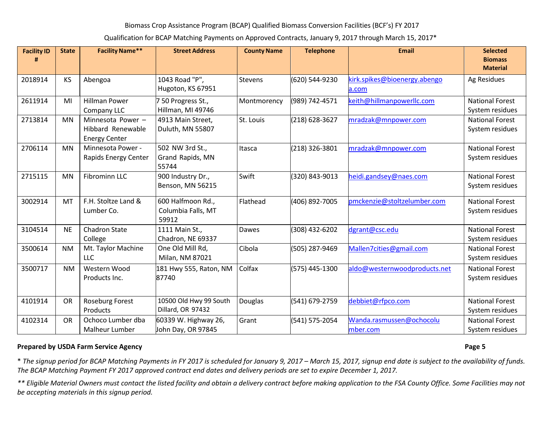Qualification for BCAP Matching Payments on Approved Contracts, January 9, 2017 through March 15, 2017\*

| <b>Facility ID</b> | <b>State</b> | <b>Facility Name**</b> | <b>Street Address</b>  | <b>County Name</b> | <b>Telephone</b> | <b>Email</b>                 | <b>Selected</b><br><b>Biomass</b> |
|--------------------|--------------|------------------------|------------------------|--------------------|------------------|------------------------------|-----------------------------------|
|                    |              |                        |                        |                    |                  |                              | <b>Material</b>                   |
| 2018914            | KS           | Abengoa                | 1043 Road "P",         | Stevens            | (620) 544-9230   | kirk.spikes@bioenergy.abengo | Ag Residues                       |
|                    |              |                        | Hugoton, KS 67951      |                    |                  | a.com                        |                                   |
| 2611914            | MI           | <b>Hillman Power</b>   | 750 Progress St.,      | Montmorency        | (989) 742-4571   | keith@hillmanpowerllc.com    | <b>National Forest</b>            |
|                    |              | Company LLC            | Hillman, MI 49746      |                    |                  |                              | System residues                   |
| 2713814            | <b>MN</b>    | Minnesota Power -      | 4913 Main Street,      | St. Louis          | (218) 628-3627   | mradzak@mnpower.com          | <b>National Forest</b>            |
|                    |              | Hibbard Renewable      | Duluth, MN 55807       |                    |                  |                              | System residues                   |
|                    |              | <b>Energy Center</b>   |                        |                    |                  |                              |                                   |
| 2706114            | <b>MN</b>    | Minnesota Power -      | 502 NW 3rd St.,        | Itasca             | (218) 326-3801   | mradzak@mnpower.com          | <b>National Forest</b>            |
|                    |              | Rapids Energy Center   | Grand Rapids, MN       |                    |                  |                              | System residues                   |
|                    |              |                        | 55744                  |                    |                  |                              |                                   |
| 2715115            | <b>MN</b>    | Fibrominn LLC          | 900 Industry Dr.,      | Swift              | (320) 843-9013   | heidi.gandsey@naes.com       | <b>National Forest</b>            |
|                    |              |                        | Benson, MN 56215       |                    |                  |                              | System residues                   |
| 3002914            | MT           | F.H. Stoltze Land &    | 600 Halfmoon Rd.,      | Flathead           | (406) 892-7005   | pmckenzie@stoltzelumber.com  | <b>National Forest</b>            |
|                    |              | Lumber Co.             | Columbia Falls, MT     |                    |                  |                              | System residues                   |
|                    |              |                        | 59912                  |                    |                  |                              |                                   |
| 3104514            | <b>NE</b>    | <b>Chadron State</b>   | 1111 Main St.,         | Dawes              | (308) 432-6202   | dgrant@csc.edu               | <b>National Forest</b>            |
|                    |              | College                | Chadron, NE 69337      |                    |                  |                              | System residues                   |
| 3500614            | <b>NM</b>    | Mt. Taylor Machine     | One Old Mill Rd,       | Cibola             | (505) 287-9469   | Mallen7cities@gmail.com      | <b>National Forest</b>            |
|                    |              | LLC                    | Milan, NM 87021        |                    |                  |                              | System residues                   |
| 3500717            | <b>NM</b>    | Western Wood           | 181 Hwy 555, Raton, NM | Colfax             | (575) 445-1300   | aldo@westernwoodproducts.net | <b>National Forest</b>            |
|                    |              | Products Inc.          | 87740                  |                    |                  |                              | System residues                   |
|                    |              |                        |                        |                    |                  |                              |                                   |
| 4101914            | <b>OR</b>    | <b>Roseburg Forest</b> | 10500 Old Hwy 99 South | Douglas            | (541) 679-2759   | debbiet@rfpco.com            | <b>National Forest</b>            |
|                    |              | Products               | Dillard, OR 97432      |                    |                  |                              | System residues                   |
| 4102314            | <b>OR</b>    | Ochoco Lumber dba      | 60339 W. Highway 26,   | Grant              | (541) 575-2054   | Wanda.rasmussen@ochocolu     | <b>National Forest</b>            |
|                    |              | <b>Malheur Lumber</b>  | John Day, OR 97845     |                    |                  | mber.com                     | System residues                   |

# **Prepared by USDA Farm Service Agency Page 5**

\* *The signup period for BCAP Matching Payments in FY 2017 is scheduled for January 9, 2017 – March 15, 2017, signup end date is subject to the availability of funds. The BCAP Matching Payment FY 2017 approved contract end dates and delivery periods are set to expire December 1, 2017.*